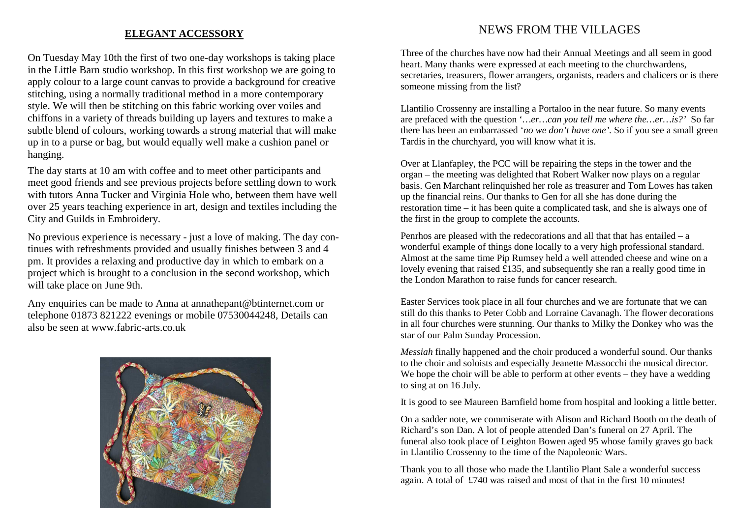### **ELEGANT ACCESSORY**

On Tuesday May 10th the first of two one-day workshops is taking place in the Little Barn studio workshop. In this first workshop we are going to apply colour to a large count canvas to provide a background for creative stitching, using a normally traditional method in a more contemporary style. We will then be stitching on this fabric working over voiles and chiffons in a variety of threads building up layers and textures to make a subtle blend of colours, working towards a strong material that will make up in to a purse or bag, but would equally well make a cushion panel or hanging.

The day starts at 10 am with coffee and to meet other participants and meet good friends and see previous projects before settling down to work with tutors Anna Tucker and Virginia Hole who, between them have well over 25 years teaching experience in art, design and textiles including the City and Guilds in Embroidery.

No previous experience is necessary - just a love of making. The day continues with refreshments provided and usually finishes between 3 and 4 pm. It provides a relaxing and productive day in which to embark on a project which is brought to a conclusion in the second workshop, which will take place on June 9th.

Any enquiries can be made to Anna at annathepant@btinternet.com or telephone 01873 821222 evenings or mobile 07530044248, Details can also be seen at www.fabric-arts.co.uk



### NEWS FROM THE VILLAGES

Three of the churches have now had their Annual Meetings and all seem in good heart. Many thanks were expressed at each meeting to the churchwardens, secretaries, treasurers, flower arrangers, organists, readers and chalicers or is there someone missing from the list?

Llantilio Crossenny are installing a Portaloo in the near future. So many events are prefaced with the question '*…er…can you tell me where the…er…is?'* So far there has been an embarrassed '*no we don't have one'.* So if you see a small green Tardis in the churchyard, you will know what it is.

Over at Llanfapley, the PCC will be repairing the steps in the tower and the organ – the meeting was delighted that Robert Walker now plays on a regular basis. Gen Marchant relinquished her role as treasurer and Tom Lowes has taken up the financial reins. Our thanks to Gen for all she has done during the restoration time – it has been quite a complicated task, and she is always one of the first in the group to complete the accounts.

Penrhos are pleased with the redecorations and all that that has entailed – a wonderful example of things done locally to a very high professional standard. Almost at the same time Pip Rumsey held a well attended cheese and wine on a lovely evening that raised £135, and subsequently she ran a really good time in the London Marathon to raise funds for cancer research.

Easter Services took place in all four churches and we are fortunate that we can still do this thanks to Peter Cobb and Lorraine Cavanagh. The flower decorations in all four churches were stunning. Our thanks to Milky the Donkey who was the star of our Palm Sunday Procession.

*Messiah* finally happened and the choir produced a wonderful sound. Our thanks to the choir and soloists and especially Jeanette Massocchi the musical director. We hope the choir will be able to perform at other events – they have a wedding to sing at on 16 July.

It is good to see Maureen Barnfield home from hospital and looking a little better.

On a sadder note, we commiserate with Alison and Richard Booth on the death of Richard's son Dan. A lot of people attended Dan's funeral on 27 April. The funeral also took place of Leighton Bowen aged 95 whose family graves go back in Llantilio Crossenny to the time of the Napoleonic Wars.

Thank you to all those who made the Llantilio Plant Sale a wonderful success again. A total of £740 was raised and most of that in the first 10 minutes!